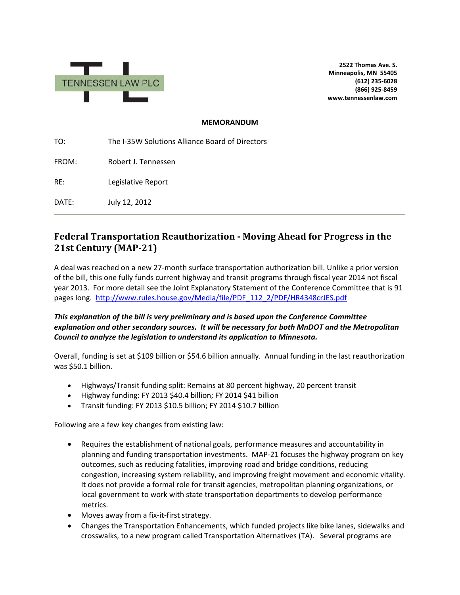

**2522 Thomas Ave. S. Minneapolis, MN 55405 (612) 235-6028 (866) 925-8459 www.tennessenlaw.com**

#### **MEMORANDUM**

TO: The I-35W Solutions Alliance Board of Directors FROM: Robert J. Tennessen RE: Legislative Report DATE: July 12, 2012

# **Federal Transportation Reauthorization - Moving Ahead for Progress in the 21st Century (MAP-21)**

A deal was reached on a new 27-month surface transportation authorization bill. Unlike a prior version of the bill, this one fully funds current highway and transit programs through fiscal year 2014 not fiscal year 2013. For more detail see the Joint Explanatory Statement of the Conference Committee that is 91 pages long. [http://www.rules.house.gov/Media/file/PDF\\_112\\_2/PDF/HR4348crJES.pdf](http://www.rules.house.gov/Media/file/PDF_112_2/PDF/HR4348crJES.pdf) 

#### *This explanation of the bill is very preliminary and is based upon the Conference Committee explanation and other secondary sources. It will be necessary for both MnDOT and the Metropolitan Council to analyze the legislation to understand its application to Minnesota.*

Overall, funding is set at \$109 billion or \$54.6 billion annually. Annual funding in the last reauthorization was \$50.1 billion.

- Highways/Transit funding split: Remains at 80 percent highway, 20 percent transit
- Highway funding: FY 2013 \$40.4 billion; FY 2014 \$41 billion
- Transit funding: FY 2013 \$10.5 billion; FY 2014 \$10.7 billion

Following are a few key changes from existing law:

- Requires the establishment of national goals, performance measures and accountability in planning and funding transportation investments. MAP-21 focuses the highway program on key outcomes, such as reducing fatalities, improving road and bridge conditions, reducing congestion, increasing system reliability, and improving freight movement and economic vitality. It does not provide a formal role for transit agencies, metropolitan planning organizations, or local government to work with state transportation departments to develop performance metrics.
- Moves away from a fix-it-first strategy.
- Changes the Transportation Enhancements, which funded projects like bike lanes, sidewalks and crosswalks, to a new program called Transportation Alternatives (TA). Several programs are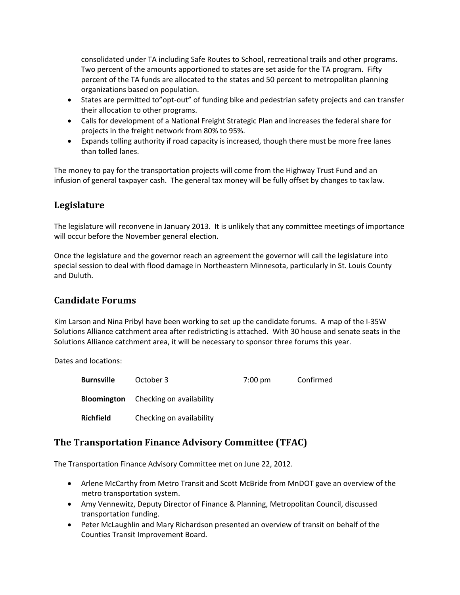consolidated under TA including Safe Routes to School, recreational trails and other programs. Two percent of the amounts apportioned to states are set aside for the TA program. Fifty percent of the TA funds are allocated to the states and 50 percent to metropolitan planning organizations based on population.

- States are permitted to"opt-out" of funding bike and pedestrian safety projects and can transfer their allocation to other programs.
- Calls for development of a National Freight Strategic Plan and increases the federal share for projects in the freight network from 80% to 95%.
- Expands tolling authority if road capacity is increased, though there must be more free lanes than tolled lanes.

The money to pay for the transportation projects will come from the Highway Trust Fund and an infusion of general taxpayer cash. The general tax money will be fully offset by changes to tax law.

### **Legislature**

The legislature will reconvene in January 2013. It is unlikely that any committee meetings of importance will occur before the November general election.

Once the legislature and the governor reach an agreement the governor will call the legislature into special session to deal with flood damage in Northeastern Minnesota, particularly in St. Louis County and Duluth.

# **Candidate Forums**

Kim Larson and Nina Pribyl have been working to set up the candidate forums. A map of the I-35W Solutions Alliance catchment area after redistricting is attached. With 30 house and senate seats in the Solutions Alliance catchment area, it will be necessary to sponsor three forums this year.

Dates and locations:

| <b>Burnsville</b> | October 3                                   | $7:00 \text{ pm}$ | Confirmed |
|-------------------|---------------------------------------------|-------------------|-----------|
|                   | <b>Bloomington</b> Checking on availability |                   |           |
| <b>Richfield</b>  | Checking on availability                    |                   |           |

### **The Transportation Finance Advisory Committee (TFAC)**

The Transportation Finance Advisory Committee met on June 22, 2012.

- Arlene McCarthy from Metro Transit and Scott McBride from MnDOT gave an overview of the metro transportation system.
- Amy Vennewitz, Deputy Director of Finance & Planning, Metropolitan Council, discussed transportation funding.
- Peter McLaughlin and Mary Richardson presented an overview of transit on behalf of the Counties Transit Improvement Board.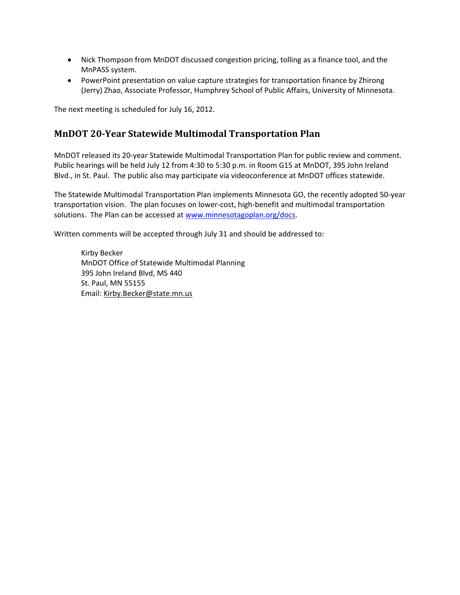- Nick Thompson from MnDOT discussed congestion pricing, tolling as a finance tool, and the MnPASS system.
- PowerPoint presentation on value capture strategies for transportation finance by Zhirong (Jerry) Zhao, Associate Professor, Humphrey School of Public Affairs, University of Minnesota.

The next meeting is scheduled for July 16, 2012.

#### **MnDOT 20-Year Statewide Multimodal Transportation Plan**

MnDOT released its 20-year Statewide Multimodal Transportation Plan for public review and comment. Public hearings will be held July 12 from 4:30 to 5:30 p.m. in Room G15 at MnDOT, 395 John Ireland Blvd., in St. Paul. The public also may participate via videoconference at MnDOT offices statewide.

The Statewide Multimodal Transportation Plan implements Minnesota GO, the recently adopted 50-year transportation vision. The plan focuses on lower-cost, high-benefit and multimodal transportation solutions. The Plan can be accessed at [www.minnesotagoplan.org/docs.](http://www.minnesotagoplan.org/docs)

Written comments will be accepted through July 31 and should be addressed to:

Kirby Becker MnDOT Office of Statewide Multimodal Planning 395 John Ireland Blvd, MS 440 St. Paul, MN 55155 Email: [Kirby.Becker@state.mn.us](mailto:Kirby.Becker@state.mn.us)